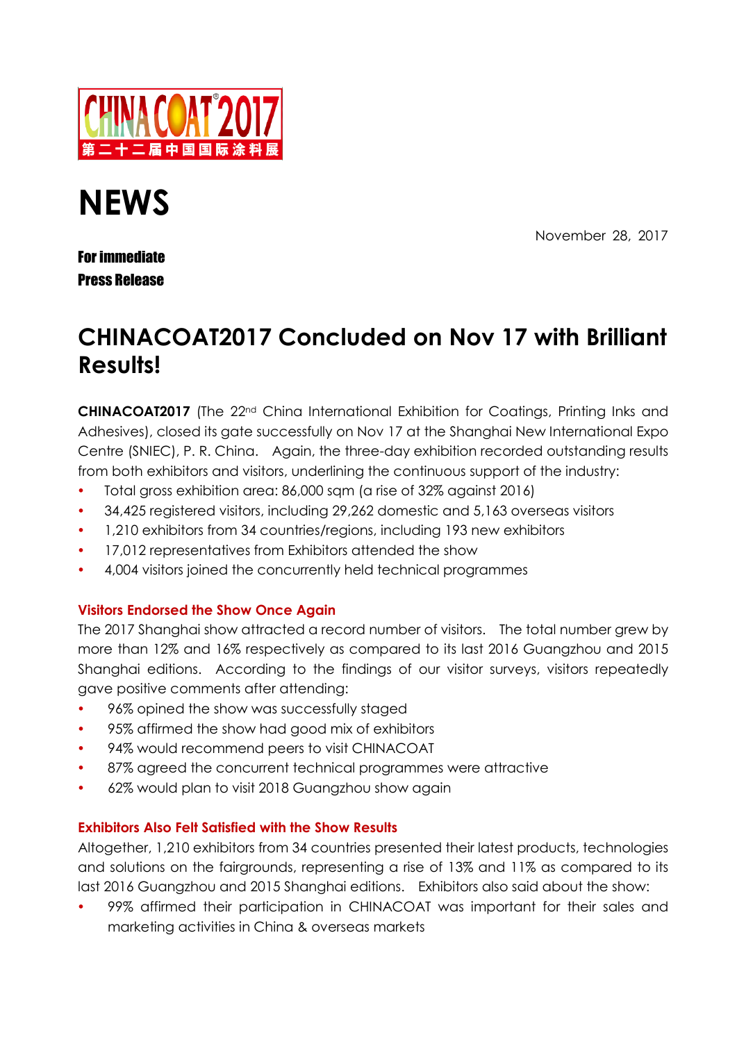

# **NEWS**

November 28, 2017

## For immediate Press Release

# **CHINACOAT2017 Concluded on Nov 17 with Brilliant Results!**

**CHINACOAT2017** (The 22<sup>nd</sup> China International Exhibition for Coatings, Printing Inks and Adhesives), closed its gate successfully on Nov 17 at the Shanghai New International Expo Centre (SNIEC), P. R. China. Again, the three-day exhibition recorded outstanding results from both exhibitors and visitors, underlining the continuous support of the industry:

- Total gross exhibition area: 86,000 sqm (a rise of 32% against 2016)
- 34,425 registered visitors, including 29,262 domestic and 5,163 overseas visitors
- 1,210 exhibitors from 34 countries/regions, including 193 new exhibitors
- 17,012 representatives from Exhibitors attended the show
- 4,004 visitors joined the concurrently held technical programmes

### **Visitors Endorsed the Show Once Again**

The 2017 Shanghai show attracted a record number of visitors. The total number grew by more than 12% and 16% respectively as compared to its last 2016 Guangzhou and 2015 Shanghai editions. According to the findings of our visitor surveys, visitors repeatedly gave positive comments after attending:

- 96% opined the show was successfully staged
- 95% affirmed the show had good mix of exhibitors
- 94% would recommend peers to visit CHINACOAT
- 87% agreed the concurrent technical programmes were attractive
- 62% would plan to visit 2018 Guangzhou show again

### **Exhibitors Also Felt Satisfied with the Show Results**

Altogether, 1,210 exhibitors from 34 countries presented their latest products, technologies and solutions on the fairgrounds, representing a rise of 13% and 11% as compared to its last 2016 Guangzhou and 2015 Shanghai editions. Exhibitors also said about the show:

 99% affirmed their participation in CHINACOAT was important for their sales and marketing activities in China & overseas markets